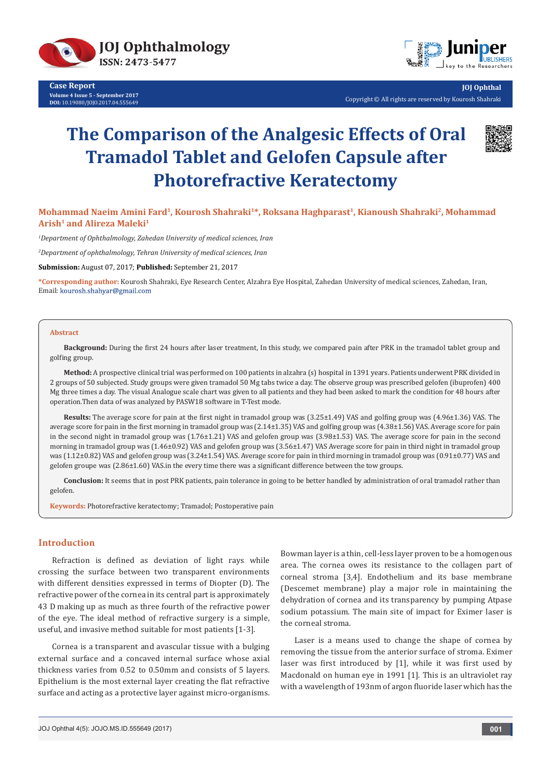

**Case Report Volume 4 Issue 5 - September 2017 DOI:** [10.19080/JOJO.2017.04.555649](http://dx.doi.org/10.19080/JOJO.2017.04.555649)



**JOJ Ophthal** Copyright © All rights are reserved by Kourosh Shahraki

# **The Comparison of the Analgesic Effects of Oral Tramadol Tablet and Gelofen Capsule after Photorefractive Keratectomy**



# **Mohammad Naeim Amini Fard1, Kourosh Shahraki1\*, Roksana Haghparast1, Kianoush Shahraki2, Mohammad Arish1 and Alireza Maleki1**

*1 Department of Ophthalmology, Zahedan University of medical sciences, Iran*

*2 Department of ophthalmology, Tehran University of medical sciences, Iran*

**Submission:** August 07, 2017; **Published:** September 21, 2017

**\*Corresponding author:** Kourosh Shahraki, Eye Research Center, Alzahra Eye Hospital, Zahedan University of medical sciences, Zahedan, Iran, Email: kourosh.shahyar@gmail.com

#### **Abstract**

**Background:** During the first 24 hours after laser treatment, In this study, we compared pain after PRK in the tramadol tablet group and golfing group.

**Method:** A prospective clinical trial was performed on 100 patients in alzahra (s) hospital in 1391 years. Patients underwent PRK divided in 2 groups of 50 subjected. Study groups were given tramadol 50 Mg tabs twice a day. The observe group was prescribed gelofen (ibuprofen) 400 Mg three times a day. The visual Analogue scale chart was given to all patients and they had been asked to mark the condition for 48 hours after operation.Then data of was analyzed by PASW18 software in T-Test mode.

**Results:** The average score for pain at the first night in tramadol group was (3.25±1.49) VAS and golfing group was (4.96±1.36) VAS. The average score for pain in the first morning in tramadol group was (2.14±1.35) VAS and golfing group was (4.38±1.56) VAS. Average score for pain in the second night in tramadol group was (1.76±1.21) VAS and gelofen group was (3.98±1.53) VAS. The average score for pain in the second morning in tramadol group was (1.46±0.92) VAS and gelofen group was (3.56±1.47) VAS Average score for pain in third night in tramadol group was (1.12±0.82) VAS and gelofen group was (3.24±1.54) VAS. Average score for pain in third morning in tramadol group was (0.91±0.77) VAS and gelofen groupe was (2.86±1.60) VAS.in the every time there was a significant difference between the tow groups.

**Conclusion:** It seems that in post PRK patients, pain tolerance in going to be better handled by administration of oral tramadol rather than gelofen.

**Keywords:** Photorefractive keratectomy; Tramadol; Postoperative pain

# **Introduction**

Refraction is defined as deviation of light rays while crossing the surface between two transparent environments with different densities expressed in terms of Diopter (D). The refractive power of the cornea in its central part is approximately 43 D making up as much as three fourth of the refractive power of the eye. The ideal method of refractive surgery is a simple, useful, and invasive method suitable for most patients [1-3].

Cornea is a transparent and avascular tissue with a bulging external surface and a concaved internal surface whose axial thickness varies from 0.52 to 0.50mm and consists of 5 layers. Epithelium is the most external layer creating the flat refractive surface and acting as a protective layer against micro-organisms.

Bowman layer is a thin, cell-less layer proven to be a homogenous area. The cornea owes its resistance to the collagen part of corneal stroma [3,4]. Endothelium and its base membrane (Descemet membrane) play a major role in maintaining the dehydration of cornea and its transparency by pumping Atpase sodium potassium. The main site of impact for Eximer laser is the corneal stroma.

Laser is a means used to change the shape of cornea by removing the tissue from the anterior surface of stroma. Eximer laser was first introduced by [1], while it was first used by Macdonald on human eye in 1991 [1]. This is an ultraviolet ray with a wavelength of 193nm of argon fluoride laser which has the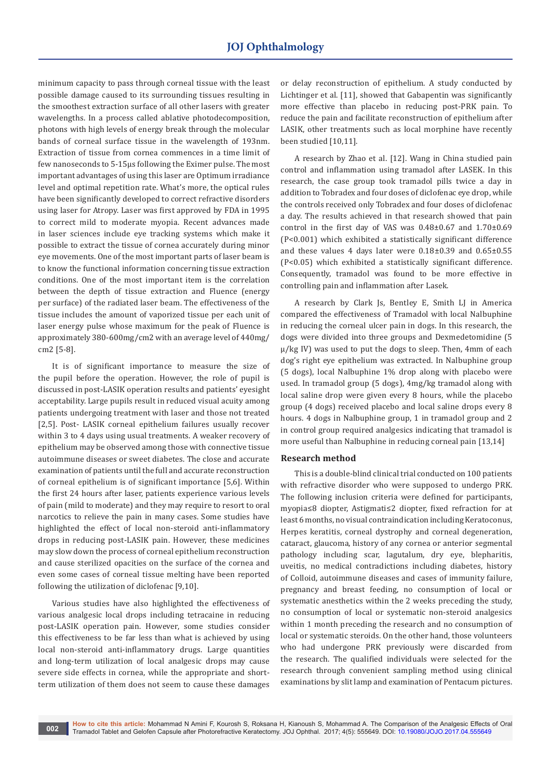minimum capacity to pass through corneal tissue with the least possible damage caused to its surrounding tissues resulting in the smoothest extraction surface of all other lasers with greater wavelengths. In a process called ablative photodecomposition, photons with high levels of energy break through the molecular bands of corneal surface tissue in the wavelength of 193nm. Extraction of tissue from cornea commences in a time limit of few nanoseconds to 5-15μs following the Eximer pulse. The most important advantages of using this laser are Optimum irradiance level and optimal repetition rate. What's more, the optical rules have been significantly developed to correct refractive disorders using laser for Atropy. Laser was first approved by FDA in 1995 to correct mild to moderate myopia. Recent advances made in laser sciences include eye tracking systems which make it possible to extract the tissue of cornea accurately during minor eye movements. One of the most important parts of laser beam is to know the functional information concerning tissue extraction conditions. One of the most important item is the correlation between the depth of tissue extraction and Fluence (energy per surface) of the radiated laser beam. The effectiveness of the tissue includes the amount of vaporized tissue per each unit of laser energy pulse whose maximum for the peak of Fluence is approximately 380-600mg/cm2 with an average level of 440mg/ cm2 [5-8].

It is of significant importance to measure the size of the pupil before the operation. However, the role of pupil is discussed in post-LASIK operation results and patients' eyesight acceptability. Large pupils result in reduced visual acuity among patients undergoing treatment with laser and those not treated [2,5]. Post- LASIK corneal epithelium failures usually recover within 3 to 4 days using usual treatments. A weaker recovery of epithelium may be observed among those with connective tissue autoimmune diseases or sweet diabetes. The close and accurate examination of patients until the full and accurate reconstruction of corneal epithelium is of significant importance [5,6]. Within the first 24 hours after laser, patients experience various levels of pain (mild to moderate) and they may require to resort to oral narcotics to relieve the pain in many cases. Some studies have highlighted the effect of local non-steroid anti-inflammatory drops in reducing post-LASIK pain. However, these medicines may slow down the process of corneal epithelium reconstruction and cause sterilized opacities on the surface of the cornea and even some cases of corneal tissue melting have been reported following the utilization of diclofenac [9,10].

Various studies have also highlighted the effectiveness of various analgesic local drops including tetracaine in reducing post-LASIK operation pain. However, some studies consider this effectiveness to be far less than what is achieved by using local non-steroid anti-inflammatory drugs. Large quantities and long-term utilization of local analgesic drops may cause severe side effects in cornea, while the appropriate and shortterm utilization of them does not seem to cause these damages

or delay reconstruction of epithelium. A study conducted by Lichtinger et al. [11], showed that Gabapentin was significantly more effective than placebo in reducing post-PRK pain. To reduce the pain and facilitate reconstruction of epithelium after LASIK, other treatments such as local morphine have recently been studied [10,11].

A research by Zhao et al. [12]. Wang in China studied pain control and inflammation using tramadol after LASEK. In this research, the case group took tramadol pills twice a day in addition to Tobradex and four doses of diclofenac eye drop, while the controls received only Tobradex and four doses of diclofenac a day. The results achieved in that research showed that pain control in the first day of VAS was 0.48±0.67 and 1.70±0.69 (P<0.001) which exhibited a statistically significant difference and these values 4 days later were 0.18±0.39 and 0.65±0.55 (P<0.05) which exhibited a statistically significant difference. Consequently, tramadol was found to be more effective in controlling pain and inflammation after Lasek.

A research by Clark Js, Bentley E, Smith LJ in America compared the effectiveness of Tramadol with local Nalbuphine in reducing the corneal ulcer pain in dogs. In this research, the dogs were divided into three groups and Dexmedetomidine (5 μ/kg IV) was used to put the dogs to sleep. Then, 4mm of each dog's right eye epithelium was extracted. In Nalbuphine group (5 dogs), local Nalbuphine 1% drop along with placebo were used. In tramadol group (5 dogs), 4mg/kg tramadol along with local saline drop were given every 8 hours, while the placebo group (4 dogs) received placebo and local saline drops every 8 hours. 4 dogs in Nalbuphine group, 1 in tramadol group and 2 in control group required analgesics indicating that tramadol is more useful than Nalbuphine in reducing corneal pain [13,14]

## **Research method**

This is a double-blind clinical trial conducted on 100 patients with refractive disorder who were supposed to undergo PRK. The following inclusion criteria were defined for participants, myopia≤8 diopter, Astigmati≤2 diopter, fixed refraction for at least 6 months, no visual contraindication including Keratoconus, Herpes keratitis, corneal dystrophy and corneal degeneration, cataract, glaucoma, history of any cornea or anterior segmental pathology including scar, lagutalum, dry eye, blepharitis, uveitis, no medical contradictions including diabetes, history of Colloid, autoimmune diseases and cases of immunity failure, pregnancy and breast feeding, no consumption of local or systematic anesthetics within the 2 weeks preceding the study, no consumption of local or systematic non-steroid analgesics within 1 month preceding the research and no consumption of local or systematic steroids. On the other hand, those volunteers who had undergone PRK previously were discarded from the research. The qualified individuals were selected for the research through convenient sampling method using clinical examinations by slit lamp and examination of Pentacum pictures.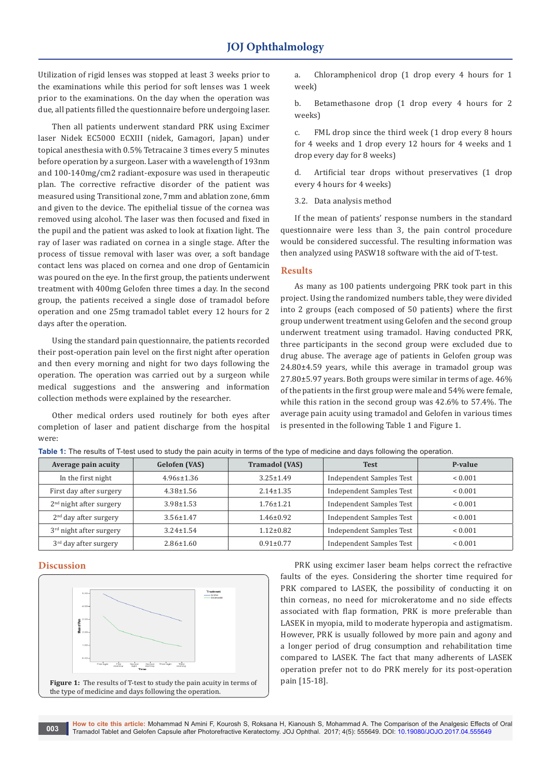Utilization of rigid lenses was stopped at least 3 weeks prior to the examinations while this period for soft lenses was 1 week prior to the examinations. On the day when the operation was due, all patients filled the questionnaire before undergoing laser.

Then all patients underwent standard PRK using Excimer laser Nidek EC5000 ECXIII (nidek, Gamagori, Japan) under topical anesthesia with 0.5% Tetracaine 3 times every 5 minutes before operation by a surgeon. Laser with a wavelength of 193nm and 100-140mg/cm2 radiant-exposure was used in therapeutic plan. The corrective refractive disorder of the patient was measured using Transitional zone, 7mm and ablation zone, 6mm and given to the device. The epithelial tissue of the cornea was removed using alcohol. The laser was then focused and fixed in the pupil and the patient was asked to look at fixation light. The ray of laser was radiated on cornea in a single stage. After the process of tissue removal with laser was over, a soft bandage contact lens was placed on cornea and one drop of Gentamicin was poured on the eye. In the first group, the patients underwent treatment with 400mg Gelofen three times a day. In the second group, the patients received a single dose of tramadol before operation and one 25mg tramadol tablet every 12 hours for 2 days after the operation.

Using the standard pain questionnaire, the patients recorded their post-operation pain level on the first night after operation and then every morning and night for two days following the operation. The operation was carried out by a surgeon while medical suggestions and the answering and information collection methods were explained by the researcher.

Other medical orders used routinely for both eyes after completion of laser and patient discharge from the hospital were:

a. Chloramphenicol drop (1 drop every 4 hours for 1 week)

b. Betamethasone drop (1 drop every 4 hours for 2 weeks)

c. FML drop since the third week (1 drop every 8 hours for 4 weeks and 1 drop every 12 hours for 4 weeks and 1 drop every day for 8 weeks)

d. Artificial tear drops without preservatives (1 drop every 4 hours for 4 weeks)

3.2. Data analysis method

If the mean of patients' response numbers in the standard questionnaire were less than 3, the pain control procedure would be considered successful. The resulting information was then analyzed using PASW18 software with the aid of T-test.

#### **Results**

As many as 100 patients undergoing PRK took part in this project. Using the randomized numbers table, they were divided into 2 groups (each composed of 50 patients) where the first group underwent treatment using Gelofen and the second group underwent treatment using tramadol. Having conducted PRK, three participants in the second group were excluded due to drug abuse. The average age of patients in Gelofen group was 24.80±4.59 years, while this average in tramadol group was 27.80±5.97 years. Both groups were similar in terms of age. 46% of the patients in the first group were male and 54% were female, while this ration in the second group was 42.6% to 57.4%. The average pain acuity using tramadol and Gelofen in various times is presented in the following Table 1 and Figure 1.

| Average pain acuity               | <b>Gelofen</b> (VAS) | <b>Tramadol (VAS)</b> | <b>Test</b>                     | P-value      |
|-----------------------------------|----------------------|-----------------------|---------------------------------|--------------|
| In the first night                | $4.96s \pm 1.36$     | $3.25 \pm 1.49$       | Independent Samples Test        | ${}_{0.001}$ |
| First day after surgery           | $4.38 \pm 1.56$      | $2.14 \pm 1.35$       | Independent Samples Test        | ${}< 0.001$  |
| $2nd$ night after surgery         | $3.98 \pm 1.53$      | $1.76 \pm 1.21$       | Independent Samples Test        | ${}< 0.001$  |
| $2nd$ day after surgery           | $3.56 \pm 1.47$      | $1.46 \pm 0.92$       | Independent Samples Test        | ${}_{0.001}$ |
| $3rd$ night after surgery         | $3.24 \pm 1.54$      | $1.12 \pm 0.82$       | Independent Samples Test        | ${}< 0.001$  |
| 3 <sup>rd</sup> day after surgery | $2.86 \pm 1.60$      | $0.91 \pm 0.77$       | <b>Independent Samples Test</b> | ${}< 0.001$  |

**Table 1:** The results of T-test used to study the pain acuity in terms of the type of medicine and days following the operation.

# **Discussion**



PRK using excimer laser beam helps correct the refractive faults of the eyes. Considering the shorter time required for PRK compared to LASEK, the possibility of conducting it on thin corneas, no need for microkeratome and no side effects associated with flap formation, PRK is more preferable than LASEK in myopia, mild to moderate hyperopia and astigmatism. However, PRK is usually followed by more pain and agony and a longer period of drug consumption and rehabilitation time compared to LASEK. The fact that many adherents of LASEK operation prefer not to do PRK merely for its post-operation pain [15-18].

**How to cite this article:** Mohammad N Amini F, Kourosh S, Roksana H, Kianoush S, Mohammad A. The Comparison of the Analgesic Effects of Oral Tramadol Tablet and Gelofen Capsule after Photorefractive Keratectomy. JOJ Ophthal. 2017; 4(5): 555649. DOI: [10.19080/JOJO.2017.04.55564](http://dx.doi.org/10.19080/JOJO.2017.04.555649)9